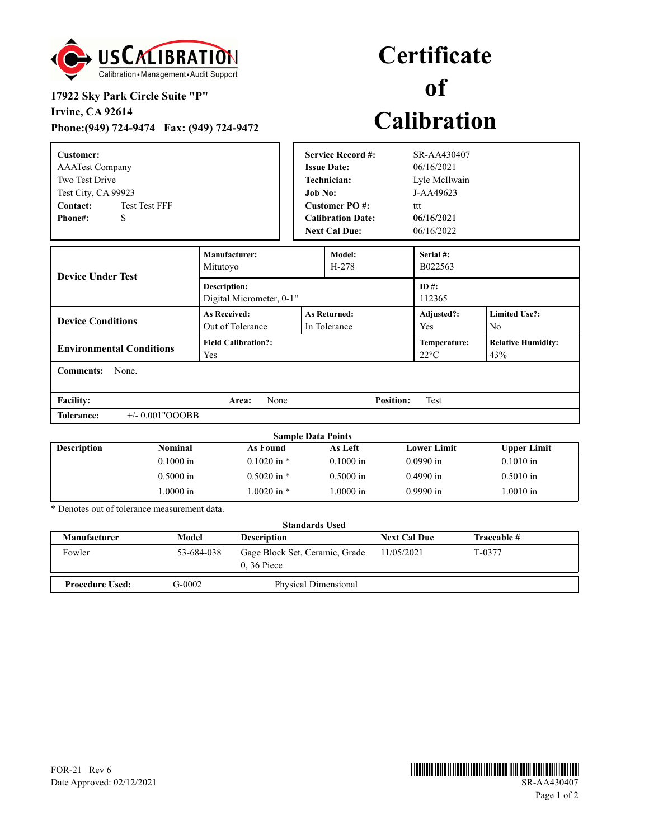

## **17922 Sky Park Circle Suite "P"**

**Irvine, CA 92614**

**Phone:(949) 724-9474 Fax: (949) 724-9472**

## **Certificate of Calibration**

| Customer:<br><b>AAATest Company</b><br>Two Test Drive<br>Test City, CA 99923<br>Contact:<br><b>Test Test FFF</b><br>S<br>Phone#: |                                                                                | <b>Service Record #:</b><br><b>Issue Date:</b><br><b>Technician:</b><br><b>Job No:</b><br>Customer PO#:<br><b>Calibration Date:</b><br><b>Next Cal Due:</b> |                   | SR-AA430407<br>06/16/2021<br>Lyle McIlwain<br>$J-AA49623$<br>ttt<br>06/16/2021<br>06/16/2022 |                                  |  |
|----------------------------------------------------------------------------------------------------------------------------------|--------------------------------------------------------------------------------|-------------------------------------------------------------------------------------------------------------------------------------------------------------|-------------------|----------------------------------------------------------------------------------------------|----------------------------------|--|
| <b>Device Under Test</b>                                                                                                         | Manufacturer:<br>Model:<br>Mitutoyo<br>$H-278$                                 |                                                                                                                                                             |                   | Serial #:<br>B022563                                                                         |                                  |  |
|                                                                                                                                  | <b>Description:</b><br>Digital Micrometer, 0-1"                                |                                                                                                                                                             |                   | $ID#$ :<br>112365                                                                            |                                  |  |
| <b>Device Conditions</b>                                                                                                         | <b>As Received:</b><br><b>As Returned:</b><br>Out of Tolerance<br>In Tolerance |                                                                                                                                                             | Adjusted?:<br>Yes | <b>Limited Use?:</b><br>No.                                                                  |                                  |  |
| <b>Environmental Conditions</b>                                                                                                  | <b>Field Calibration?:</b><br>Yes                                              |                                                                                                                                                             |                   | Temperature:<br>$22^{\circ}$ C                                                               | <b>Relative Humidity:</b><br>43% |  |
| <b>Comments:</b><br>None.                                                                                                        |                                                                                |                                                                                                                                                             |                   |                                                                                              |                                  |  |
| <b>Facility:</b>                                                                                                                 | None<br>Area:                                                                  |                                                                                                                                                             | <b>Position:</b>  | <b>Test</b>                                                                                  |                                  |  |
| <b>Tolerance:</b><br>$+/- 0.001"OOOBB$                                                                                           |                                                                                |                                                                                                                                                             |                   |                                                                                              |                                  |  |

|                    | <b>Sample Data Points</b> |                 |             |             |                    |  |
|--------------------|---------------------------|-----------------|-------------|-------------|--------------------|--|
| <b>Description</b> | Nominal                   | As Found        | As Left     | Lower Limit | <b>Upper Limit</b> |  |
|                    | $0.1000$ in               | $0.1020$ in $*$ | $0.1000$ in | $0.0990$ in | $0.1010$ in        |  |
|                    | $0.5000$ in               | $0.5020$ in $*$ | $0.5000$ in | $0.4990$ in | $0.5010$ in        |  |
|                    | .0000 in                  | .0020 in $*$    | 1.0000 in   | $0.9990$ in | $.0010$ in         |  |

\* Denotes out of tolerance measurement data.

| <b>Standards Used</b>  |            |                                                |                     |             |  |  |  |
|------------------------|------------|------------------------------------------------|---------------------|-------------|--|--|--|
| <b>Manufacturer</b>    | Model      | <b>Description</b>                             | <b>Next Cal Due</b> | Traceable # |  |  |  |
| Fowler                 | 53-684-038 | Gage Block Set, Ceramic, Grade<br>$0.36$ Piece | 11/05/2021          | T-0377      |  |  |  |
| <b>Procedure Used:</b> | G-0002     | Physical Dimensional                           |                     |             |  |  |  |